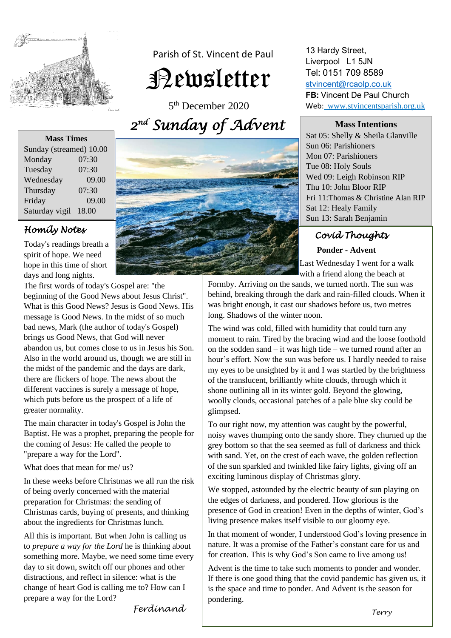

 Parish of St. Vincent de Paul Newsletter

5 th December 2020 *2 nd Sunday of Advent* 

## **Mass Times**

| Sunday (streamed) 10.00 |       |
|-------------------------|-------|
| Monday                  | 07:30 |
| Tuesday                 | 07:30 |
| Wednesday               | 09.00 |
| Thursday                | 07:30 |
| Friday                  | 09.00 |
| Saturday vigil          | 18.00 |

## *Homily Notes*

Today's readings breath a spirit of hope. We need hope in this time of short days and long nights.

The first words of today's Gospel are: "the beginning of the Good News about Jesus Christ". What is this Good News? Jesus is Good News. His message is Good News. In the midst of so much bad news, Mark (the author of today's Gospel) brings us Good News, that God will never abandon us, but comes close to us in Jesus his Son. Also in the world around us, though we are still in the midst of the pandemic and the days are dark, there are flickers of hope. The news about the different vaccines is surely a message of hope, which puts before us the prospect of a life of greater normality.

The main character in today's Gospel is John the Baptist. He was a prophet, preparing the people for the coming of Jesus: He called the people to "prepare a way for the Lord".

What does that mean for me/ us?

In these weeks before Christmas we all run the risk of being overly concerned with the material preparation for Christmas: the sending of Christmas cards, buying of presents, and thinking about the ingredients for Christmas lunch.

All this is important. But when John is calling us to *prepare a way for the Lord* he is thinking about something more. Maybe, we need some time every day to sit down, switch off our phones and other distractions, and reflect in silence: what is the change of heart God is calling me to? How can I prepare a way for the Lord?



13 Hardy Street, Liverpool L1 5JN Tel: 0151 709 8589 [stvincent@rcaolp.co.uk](mailto:stvincent@rcaolp.co.uk) **FB:** Vincent De Paul Church Web: www.stvincentsparish.org.uk

### **Mass Intentions**

Sat 05: Shelly & Sheila Glanville Sun 06: Parishioners Mon 07: Parishioners Tue 08: Holy Souls Wed 09: Leigh Robinson RIP Thu 10: John Bloor RIP Fri 11:Thomas & Christine Alan RIP Sat 12: Healy Family Sun 13: Sarah Benjamin

# *Covid Thoughts*

## **Ponder - Advent**

 Last Wednesday I went for a walk with a friend along the beach at

Formby. Arriving on the sands, we turned north. The sun was behind, breaking through the dark and rain-filled clouds. When it was bright enough, it cast our shadows before us, two metres long. Shadows of the winter noon.

Ï

The wind was cold, filled with humidity that could turn any moment to rain. Tired by the bracing wind and the loose foothold on the sodden sand – it was high tide – we turned round after an hour's effort. Now the sun was before us. I hardly needed to raise my eyes to be unsighted by it and I was startled by the brightness of the translucent, brilliantly white clouds, through which it shone outlining all in its winter gold. Beyond the glowing, woolly clouds, occasional patches of a pale blue sky could be glimpsed.

To our right now, my attention was caught by the powerful, noisy waves thumping onto the sandy shore. They churned up the grey bottom so that the sea seemed as full of darkness and thick with sand. Yet, on the crest of each wave, the golden reflection of the sun sparkled and twinkled like fairy lights, giving off an exciting luminous display of Christmas glory.

We stopped, astounded by the electric beauty of sun playing on the edges of darkness, and pondered. How glorious is the presence of God in creation! Even in the depths of winter, God's living presence makes itself visible to our gloomy eye.

In that moment of wonder, I understood God's loving presence in nature. It was a promise of the Father's constant care for us and for creation. This is why God's Son came to live among us!

Advent is the time to take such moments to ponder and wonder. If there is one good thing that the covid pandemic has given us, it is the space and time to ponder. And Advent is the season for pondering.

*Ferdinand*